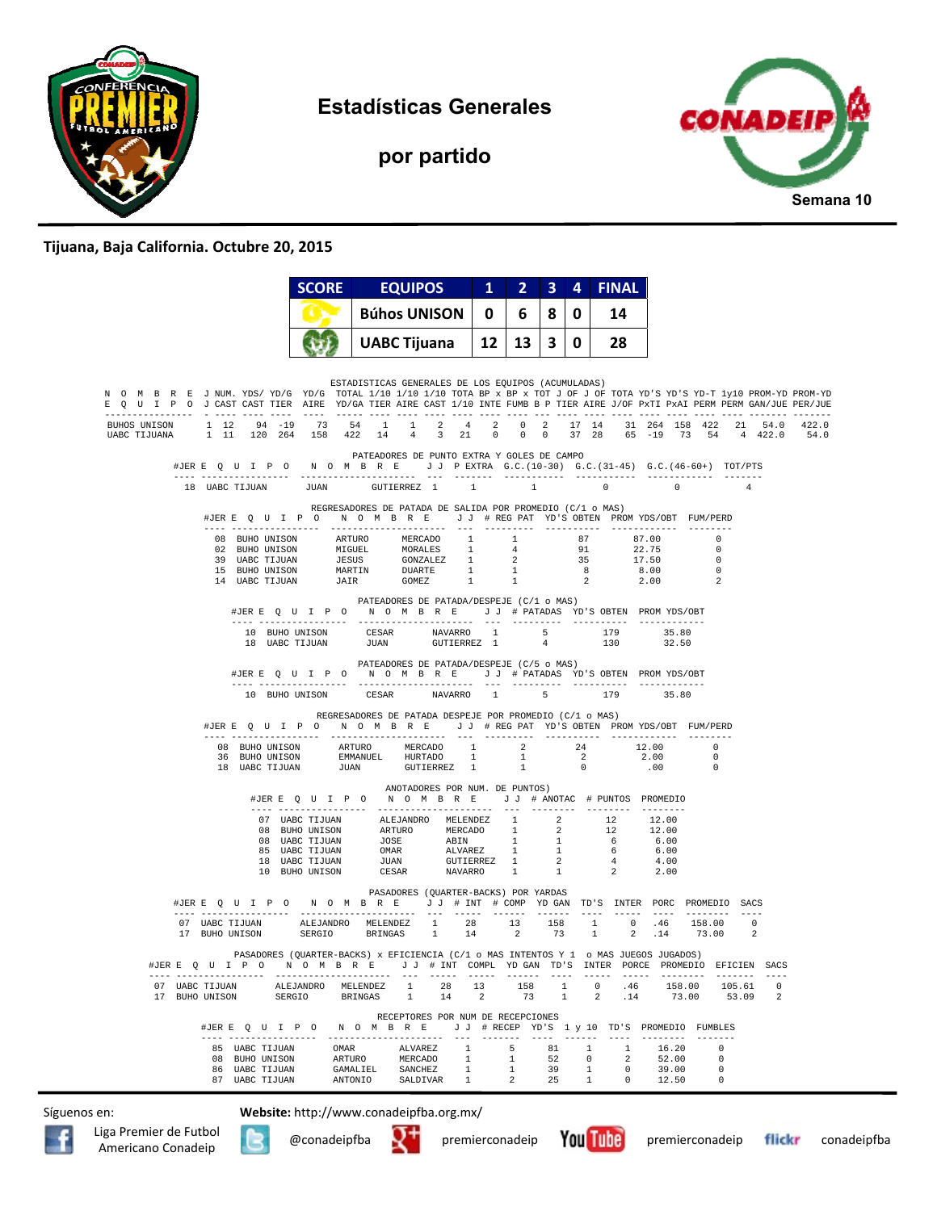

**Estadísticas Generales** 



**por partido** 

## **Tijuana, Baja California. Octubre 20, 2015**

|                                                                                                                                                                                                                                                        |                |                                  |  | <b>SCORE</b>                        |        |       | <b>EQUIPOS</b> |                                        |   | $\mathbf{1}$ | $\overline{2}$                                                                                                                                                                                                                                   |    | 3              | 4            | <b>FINAL</b>                                                                                                                                                                                                                                                                                                                                 |               |       |                   |                                      |                |      |
|--------------------------------------------------------------------------------------------------------------------------------------------------------------------------------------------------------------------------------------------------------|----------------|----------------------------------|--|-------------------------------------|--------|-------|----------------|----------------------------------------|---|--------------|--------------------------------------------------------------------------------------------------------------------------------------------------------------------------------------------------------------------------------------------------|----|----------------|--------------|----------------------------------------------------------------------------------------------------------------------------------------------------------------------------------------------------------------------------------------------------------------------------------------------------------------------------------------------|---------------|-------|-------------------|--------------------------------------|----------------|------|
|                                                                                                                                                                                                                                                        |                |                                  |  |                                     |        |       |                | <b>Búhos UNISON</b>                    |   | 0            | 6.                                                                                                                                                                                                                                               |    | 8              | 0            | 14                                                                                                                                                                                                                                                                                                                                           |               |       |                   |                                      |                |      |
|                                                                                                                                                                                                                                                        |                |                                  |  |                                     |        |       |                | <b>UABC Tijuana</b>                    |   | 12           | 13 <sup>1</sup>                                                                                                                                                                                                                                  |    | 3 <sup>1</sup> | $\mathbf{0}$ | 28                                                                                                                                                                                                                                                                                                                                           |               |       |                   |                                      |                |      |
| N O M B R E J NUM. YDS/YD/G YD/G TOTAL 1/10 1/10 1/10 TOTA BP x BP x TOT J OF J OF TOTA YD'S YD-T 1y10 PROM-YD PROM-YD<br>E Q U I P O J CAST CAST TIER AIRE YD/GA TIER AIRE CAST 1/10 INTE FUMB B P TIER AIRE J/OF PxTI PxAI PERM PERM GAN/JUE PER/JUE |                |                                  |  |                                     |        |       |                |                                        |   |              | ESTADISTICAS GENERALES DE LOS EQUIPOS (ACUMULADAS)                                                                                                                                                                                               |    |                |              |                                                                                                                                                                                                                                                                                                                                              |               |       |                   |                                      |                |      |
| BUHOS UNISON 1 12 94 -19 73 54 1 1 2 4 2 0 2 17 14 31 264 158 422 21 54.0 422.0<br>UABC TIJUANA 1 11 120 264 158 422 14 4 3 21                                                                                                                         |                |                                  |  |                                     |        |       |                |                                        |   |              |                                                                                                                                                                                                                                                  |    |                |              | 0 0 0 37 28 65 -19 73 54 4 422.0                                                                                                                                                                                                                                                                                                             |               |       |                   |                                      |                | 54.0 |
|                                                                                                                                                                                                                                                        |                |                                  |  |                                     |        |       |                |                                        |   |              | PATEADORES DE PUNTO EXTRA Y GOLES DE CAMPO                                                                                                                                                                                                       |    |                |              | #JERE Q U I P O N O M B R E J J PEXTRA G.C. (10-30) G.C. (31-45) G.C. (46-60+) TOT/PTS                                                                                                                                                                                                                                                       |               |       |                   |                                      |                |      |
|                                                                                                                                                                                                                                                        |                |                                  |  |                                     |        |       |                |                                        |   |              | 18 UABC TIJUAN UUAN GUTIERREZ 1 1 1 1                                                                                                                                                                                                            |    |                |              | $0 \qquad \qquad 0 \qquad \qquad 4$                                                                                                                                                                                                                                                                                                          |               |       |                   |                                      |                |      |
|                                                                                                                                                                                                                                                        |                |                                  |  |                                     |        |       |                |                                        |   |              | REGRESADORES DE PATADA DE SALIDA POR PROMEDIO (C/1 o MAS)                                                                                                                                                                                        |    |                |              | #JERE Q U I P O N O M B R E J J # REG PAT YD'S OBTEN PROMYDS/OBT FUM/PERD                                                                                                                                                                                                                                                                    |               |       |                   |                                      |                |      |
|                                                                                                                                                                                                                                                        |                |                                  |  |                                     |        |       |                |                                        |   |              |                                                                                                                                                                                                                                                  |    |                |              |                                                                                                                                                                                                                                                                                                                                              |               |       |                   | $\Omega$<br>$\overline{\phantom{0}}$ |                |      |
|                                                                                                                                                                                                                                                        |                |                                  |  |                                     |        |       |                |                                        |   |              |                                                                                                                                                                                                                                                  |    |                |              |                                                                                                                                                                                                                                                                                                                                              |               |       |                   | $\overline{0}$                       |                |      |
|                                                                                                                                                                                                                                                        |                |                                  |  |                                     |        |       |                |                                        |   |              |                                                                                                                                                                                                                                                  |    |                |              | $\begin{tabular}{cccccccc} 08 & BUBO UNISON & ARTURO & MERCADO & 1 & 1 & 87 & 87.00 \\ 02 & BUBO UNISON & MIGUEL & MORALES & 1 & 4 & 91 & 22.75 \\ 39 & UABC TIJJUM & JESUS & GONZALEZ & 1 & 2 & 35 & 17.50 \\ 15 & BUBO UNISON & MARTIN & DUAATE & 1 & 1 & 8 & 8.00 \\ 14 & UABC TIJUAN & JAIR & GOMEZ & 1 & 1 & 2 & 2.00 \\ \end{tabular}$ |               |       |                   | $\overline{\phantom{0}}$             |                |      |
|                                                                                                                                                                                                                                                        |                |                                  |  |                                     |        |       |                |                                        |   |              | PATEADORES DE PATADA/DESPEJE (C/1 o MAS)                                                                                                                                                                                                         |    |                |              | #JERE QUIPO NOMBRE JJ # PATADAS YD'S OBTEN PROMYDS/OBT                                                                                                                                                                                                                                                                                       |               |       |                   |                                      |                |      |
|                                                                                                                                                                                                                                                        |                |                                  |  |                                     |        |       |                |                                        |   |              | $\begin{tabular}{lllllllllllllllllllllll} \textsc{10} & \textsc{BiHO} & \textsc{inSON} & \textsc{CESAR} & \textsc{NNAVARRO} & 1 & 5 \\ \textsc{18} & \textsc{UABC} & \textsc{TIJUAN} & \textsc{JUAN} & \textsc{GUTIERREZ} & 1 & 4 \end{tabular}$ |    |                |              | $179$<br>$130$                                                                                                                                                                                                                                                                                                                               | 35.80         | 32.50 |                   |                                      |                |      |
|                                                                                                                                                                                                                                                        |                |                                  |  |                                     |        |       |                |                                        |   |              | PATEADORES DE PATADA/DESPEJE (C/5 o MAS)                                                                                                                                                                                                         |    |                |              |                                                                                                                                                                                                                                                                                                                                              |               |       |                   |                                      |                |      |
|                                                                                                                                                                                                                                                        |                |                                  |  |                                     |        |       |                |                                        |   |              |                                                                                                                                                                                                                                                  |    |                |              | #JERE QUIPO NOMBRE JJ #PATADAS YD'S OBTEN PROMYDS/OBT                                                                                                                                                                                                                                                                                        |               |       |                   |                                      |                |      |
|                                                                                                                                                                                                                                                        |                |                                  |  | 10 BUHO UNISON                      |        | CESAR |                | NAVARRO 1                              |   |              |                                                                                                                                                                                                                                                  |    | $5 -$          |              | 179                                                                                                                                                                                                                                                                                                                                          |               | 35.80 |                   |                                      |                |      |
|                                                                                                                                                                                                                                                        |                |                                  |  |                                     |        |       |                |                                        |   |              | REGRESADORES DE PATADA DESPEJE POR PROMEDIO (C/1 o MAS)                                                                                                                                                                                          |    |                |              | #JERE Q U I P O N O M B R E J J # REG PAT YD'S OBTEN PROMYDS/OBT FUM/PERD                                                                                                                                                                                                                                                                    |               |       |                   |                                      |                |      |
|                                                                                                                                                                                                                                                        |                |                                  |  |                                     |        |       |                |                                        |   |              |                                                                                                                                                                                                                                                  |    |                |              |                                                                                                                                                                                                                                                                                                                                              |               |       |                   |                                      |                |      |
|                                                                                                                                                                                                                                                        |                |                                  |  |                                     |        |       |                |                                        |   |              |                                                                                                                                                                                                                                                  |    |                |              | $\begin{tabular}{cccccccc} 08 & BUIHO UNISON & ARTURO & MERCADO & 1 & 2 & 24 & 12.00 & 0 \\ 36 & BUIHO UNISON & EMMANUEL & HURTADO & 1 & 1 & 2 & 2.00 & 0 \\ 18 & UABC TIJUAN & JUAN & GUTIERREZ & 1 & 1 & 0 & .00 & 0 \\ \end{tabular}$                                                                                                     |               |       |                   |                                      |                |      |
|                                                                                                                                                                                                                                                        |                |                                  |  |                                     |        |       |                |                                        |   |              | ANOTADORES POR NUM. DE PUNTOS)                                                                                                                                                                                                                   |    |                |              | #JERE QUIPO NOMBRE JJ # ANOTAC # PUNTOS PROMEDIO                                                                                                                                                                                                                                                                                             |               |       |                   |                                      |                |      |
|                                                                                                                                                                                                                                                        |                |                                  |  |                                     |        |       |                |                                        |   |              |                                                                                                                                                                                                                                                  |    |                |              |                                                                                                                                                                                                                                                                                                                                              |               |       |                   |                                      |                |      |
|                                                                                                                                                                                                                                                        |                |                                  |  |                                     |        |       |                |                                        |   |              |                                                                                                                                                                                                                                                  |    |                |              | 07 UABC TIJUAN ALEJANDRO MELENDEZ 1 2 12 12.00<br>08 BUHO UNISON ARTURO MERCADO 1 2 12 12.00<br>08 UABC TIJUAN OMAR ALUAREZ 1 1 6 6.00<br>10 UABC TIJUAN OMAR ALVAREZ 1 1 6 6.00<br>10 UABC TIJUAN OMAR ALVAREZ 1 2 4 4.00<br>10 BUHO UN                                                                                                     |               |       |                   |                                      |                |      |
|                                                                                                                                                                                                                                                        |                |                                  |  |                                     |        |       |                |                                        |   |              |                                                                                                                                                                                                                                                  |    |                |              |                                                                                                                                                                                                                                                                                                                                              |               |       |                   |                                      |                |      |
|                                                                                                                                                                                                                                                        |                |                                  |  |                                     |        |       |                |                                        |   |              |                                                                                                                                                                                                                                                  |    |                |              |                                                                                                                                                                                                                                                                                                                                              |               |       |                   |                                      |                |      |
|                                                                                                                                                                                                                                                        |                |                                  |  |                                     |        |       |                |                                        |   |              | PASADORES (OUARTER-BACKS) POR YARDAS                                                                                                                                                                                                             |    |                |              | #JERE Q U I P O N O M B R E J J # INT # COMP YD GAN TD'S INTER PORC PROMEDIO SACS                                                                                                                                                                                                                                                            |               |       |                   |                                      |                |      |
|                                                                                                                                                                                                                                                        |                |                                  |  |                                     |        |       |                |                                        |   |              |                                                                                                                                                                                                                                                  |    |                |              | $\begin{array}{cccccccccccc} 07 & \text{UBLC TIJUAN} & & \text{ALEJANDRO} & & \text{MELENDEZ} & 1 & 28 & 13 & 158 & 1 & 0 & .46 & 158.00 & 0 \\ 17 & \text{BUBO UNISON} & & \text{SERGIO} & & \text{BRINGAS} & 1 & 14 & 2 & 73 & 1 & 2 & .14 & 73.00 & 2 \\ \end{array}$                                                                     |               |       |                   |                                      |                |      |
| #JER E O                                                                                                                                                                                                                                               |                |                                  |  | UIPO NOMBRE                         |        |       | JJ             | # INT                                  |   |              | COMPL YD GAN                                                                                                                                                                                                                                     |    | TD'S INTER     |              | PASADORES (QUARTER-BACKS) x EFICIENCIA (C/1 o MAS INTENTOS Y 1 o MAS JUEGOS JUGADOS)                                                                                                                                                                                                                                                         | PORCE         |       |                   | PROMEDIO EFICIEN SACS                |                |      |
|                                                                                                                                                                                                                                                        |                |                                  |  | 07 UABC TIJUAN ALEJANDRO MELENDEZ 1 |        |       | $- - - -$      | $- - - - -$<br>28                      |   | $- - - - -$  | $- - - - - - -$<br>$13 \t 158$                                                                                                                                                                                                                   |    | $- - - -$      |              | $- - - - - -$<br>1 0 .46 158.00 105.61                                                                                                                                                                                                                                                                                                       | $- - - - - -$ |       | $- - - - - - - -$ |                                      | $\mathbf{0}$   |      |
|                                                                                                                                                                                                                                                        | 17 BUHO UNISON |                                  |  | SERGIO BRINGAS 1                    |        |       |                |                                        |   | 14 2         | RECEPTORES POR NUM DE RECEPCIONES                                                                                                                                                                                                                |    |                |              | 73 1 2 14 73.00 53.09<br>#JERE QUIPO NOMBRE JJ #RECEP YD'S 1 y 10 TD'S PROMEDIO FUMBLES                                                                                                                                                                                                                                                      |               |       |                   |                                      | $\overline{2}$ |      |
|                                                                                                                                                                                                                                                        |                | 85 UABC TIJUAN                   |  |                                     | OMAR   |       | ALVAREZ        |                                        | 1 |              | 5 <sup>5</sup>                                                                                                                                                                                                                                   |    | 81             | 1            |                                                                                                                                                                                                                                                                                                                                              | $\sim$ 1      | 16.20 |                   | $\Omega$                             |                |      |
|                                                                                                                                                                                                                                                        |                | 08 BUHO UNISON                   |  |                                     | ARTURO |       | MERCADO        |                                        | 1 |              | $\mathbf{1}$                                                                                                                                                                                                                                     | 52 |                | $\circ$      | $\overline{2}$                                                                                                                                                                                                                                                                                                                               |               | 52.00 |                   | $\Omega$                             |                |      |
|                                                                                                                                                                                                                                                        |                | 86 UABC TIJUAN<br>87 UABC TIJUAN |  |                                     |        |       |                | GAMALIEL SANCHEZ<br>ANTONIO SALDIVAR 1 | 1 |              | 1<br>$\overline{\phantom{a}}$ 2                                                                                                                                                                                                                  |    | 39 1           |              | $\overline{0}$<br>25 1 0 12.50                                                                                                                                                                                                                                                                                                               |               | 39.00 |                   | $\overline{0}$<br>$\Omega$           |                |      |
|                                                                                                                                                                                                                                                        |                |                                  |  |                                     |        |       |                |                                        |   |              |                                                                                                                                                                                                                                                  |    |                |              |                                                                                                                                                                                                                                                                                                                                              |               |       |                   |                                      |                |      |

Síguenos en: **Website:** http://www.conadeipfba.org.mx/